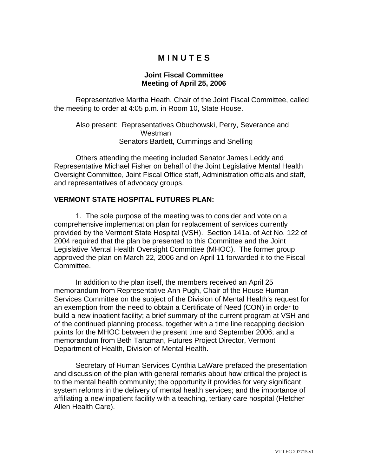## **M I N U T E S**

## **Joint Fiscal Committee Meeting of April 25, 2006**

Representative Martha Heath, Chair of the Joint Fiscal Committee, called the meeting to order at 4:05 p.m. in Room 10, State House.

 Also present: Representatives Obuchowski, Perry, Severance and Westman Senators Bartlett, Cummings and Snelling

 Others attending the meeting included Senator James Leddy and Representative Michael Fisher on behalf of the Joint Legislative Mental Health Oversight Committee, Joint Fiscal Office staff, Administration officials and staff, and representatives of advocacy groups.

## **VERMONT STATE HOSPITAL FUTURES PLAN:**

 1. The sole purpose of the meeting was to consider and vote on a comprehensive implementation plan for replacement of services currently provided by the Vermont State Hospital (VSH). Section 141a. of Act No. 122 of 2004 required that the plan be presented to this Committee and the Joint Legislative Mental Health Oversight Committee (MHOC). The former group approved the plan on March 22, 2006 and on April 11 forwarded it to the Fiscal Committee.

 In addition to the plan itself, the members received an April 25 memorandum from Representative Ann Pugh, Chair of the House Human Services Committee on the subject of the Division of Mental Health's request for an exemption from the need to obtain a Certificate of Need (CON) in order to build a new inpatient facility; a brief summary of the current program at VSH and of the continued planning process, together with a time line recapping decision points for the MHOC between the present time and September 2006; and a memorandum from Beth Tanzman, Futures Project Director, Vermont Department of Health, Division of Mental Health.

Secretary of Human Services Cynthia LaWare prefaced the presentation and discussion of the plan with general remarks about how critical the project is to the mental health community; the opportunity it provides for very significant system reforms in the delivery of mental health services; and the importance of affiliating a new inpatient facility with a teaching, tertiary care hospital (Fletcher Allen Health Care).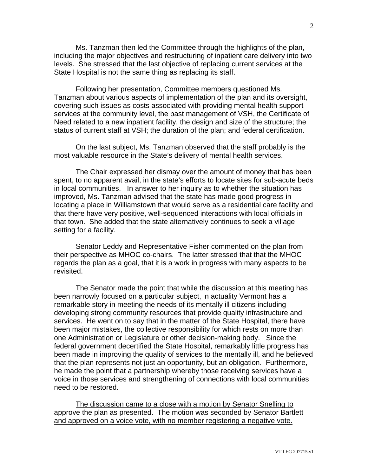Ms. Tanzman then led the Committee through the highlights of the plan, including the major objectives and restructuring of inpatient care delivery into two levels. She stressed that the last objective of replacing current services at the State Hospital is not the same thing as replacing its staff.

Following her presentation, Committee members questioned Ms. Tanzman about various aspects of implementation of the plan and its oversight, covering such issues as costs associated with providing mental health support services at the community level, the past management of VSH, the Certificate of Need related to a new inpatient facility, the design and size of the structure; the status of current staff at VSH; the duration of the plan; and federal certification.

 On the last subject, Ms. Tanzman observed that the staff probably is the most valuable resource in the State's delivery of mental health services.

 The Chair expressed her dismay over the amount of money that has been spent, to no apparent avail, in the state's efforts to locate sites for sub-acute beds in local communities. In answer to her inquiry as to whether the situation has improved, Ms. Tanzman advised that the state has made good progress in locating a place in Williamstown that would serve as a residential care facility and that there have very positive, well-sequenced interactions with local officials in that town. She added that the state alternatively continues to seek a village setting for a facility.

 Senator Leddy and Representative Fisher commented on the plan from their perspective as MHOC co-chairs. The latter stressed that that the MHOC regards the plan as a goal, that it is a work in progress with many aspects to be revisited.

 The Senator made the point that while the discussion at this meeting has been narrowly focused on a particular subject, in actuality Vermont has a remarkable story in meeting the needs of its mentally ill citizens including developing strong community resources that provide quality infrastructure and services. He went on to say that in the matter of the State Hospital, there have been major mistakes, the collective responsibility for which rests on more than one Administration or Legislature or other decision-making body. Since the federal government decertified the State Hospital, remarkably little progress has been made in improving the quality of services to the mentally ill, and he believed that the plan represents not just an opportunity, but an obligation. Furthermore, he made the point that a partnership whereby those receiving services have a voice in those services and strengthening of connections with local communities need to be restored.

 The discussion came to a close with a motion by Senator Snelling to approve the plan as presented. The motion was seconded by Senator Bartlett and approved on a voice vote, with no member registering a negative vote.